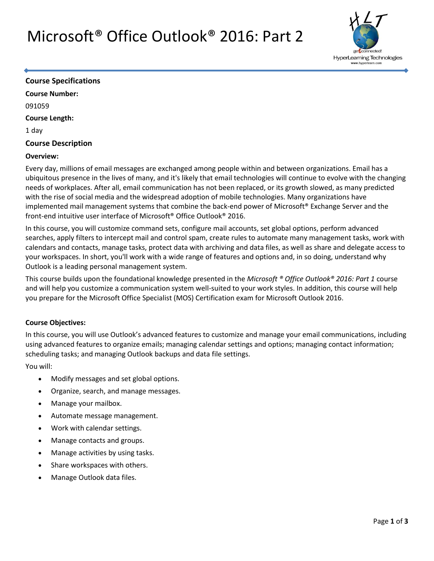## Microsoft® Office Outlook® 2016: Part 2



#### **Course Specifications**

**Course Number:** 091059 **Course Length:**

1 day

#### **Course Description**

#### **Overview:**

Every day, millions of email messages are exchanged among people within and between organizations. Email has a ubiquitous presence in the lives of many, and it's likely that email technologies will continue to evolve with the changing needs of workplaces. After all, email communication has not been replaced, or its growth slowed, as many predicted with the rise of social media and the widespread adoption of mobile technologies. Many organizations have implemented mail management systems that combine the back-end power of Microsoft® Exchange Server and the front-end intuitive user interface of Microsoft® Office Outlook® 2016.

In this course, you will customize command sets, configure mail accounts, set global options, perform advanced searches, apply filters to intercept mail and control spam, create rules to automate many management tasks, work with calendars and contacts, manage tasks, protect data with archiving and data files, as well as share and delegate access to your workspaces. In short, you'll work with a wide range of features and options and, in so doing, understand why Outlook is a leading personal management system.

This course builds upon the foundational knowledge presented in the *Microsoft ® Office Outlook® 2016: Part 1* course and will help you customize a communication system well-suited to your work styles. In addition, this course will help you prepare for the Microsoft Office Specialist (MOS) Certification exam for Microsoft Outlook 2016.

#### **Course Objectives:**

In this course, you will use Outlook's advanced features to customize and manage your email communications, including using advanced features to organize emails; managing calendar settings and options; managing contact information; scheduling tasks; and managing Outlook backups and data file settings.

You will:

- Modify messages and set global options.
- Organize, search, and manage messages.
- Manage your mailbox.
- Automate message management.
- Work with calendar settings.
- Manage contacts and groups.
- Manage activities by using tasks.
- Share workspaces with others.
- Manage Outlook data files.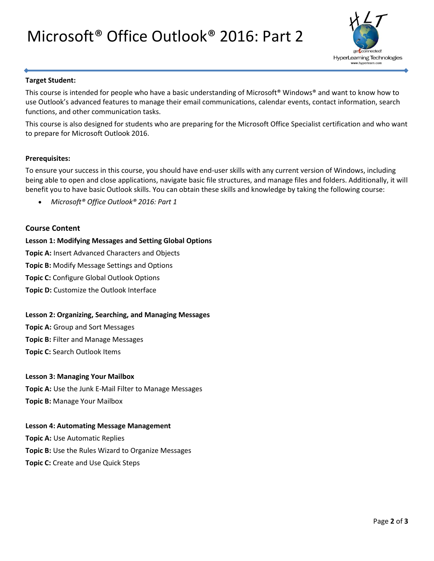# Microsoft® Office Outlook® 2016: Part 2



#### **Target Student:**

This course is intended for people who have a basic understanding of Microsoft® Windows® and want to know how to use Outlook's advanced features to manage their email communications, calendar events, contact information, search functions, and other communication tasks.

This course is also designed for students who are preparing for the Microsoft Office Specialist certification and who want to prepare for Microsoft Outlook 2016.

#### **Prerequisites:**

To ensure your success in this course, you should have end-user skills with any current version of Windows, including being able to open and close applications, navigate basic file structures, and manage files and folders. Additionally, it will benefit you to have basic Outlook skills. You can obtain these skills and knowledge by taking the following course:

*Microsoft® Office Outlook® 2016: Part 1*

#### **Course Content**

**Lesson 1: Modifying Messages and Setting Global Options Topic A:** Insert Advanced Characters and Objects **Topic B:** Modify Message Settings and Options **Topic C:** Configure Global Outlook Options **Topic D:** Customize the Outlook Interface

#### **Lesson 2: Organizing, Searching, and Managing Messages**

**Topic A:** Group and Sort Messages **Topic B:** Filter and Manage Messages **Topic C:** Search Outlook Items

#### **Lesson 3: Managing Your Mailbox**

**Topic A:** Use the Junk E-Mail Filter to Manage Messages **Topic B:** Manage Your Mailbox

#### **Lesson 4: Automating Message Management**

**Topic A:** Use Automatic Replies **Topic B:** Use the Rules Wizard to Organize Messages **Topic C:** Create and Use Quick Steps